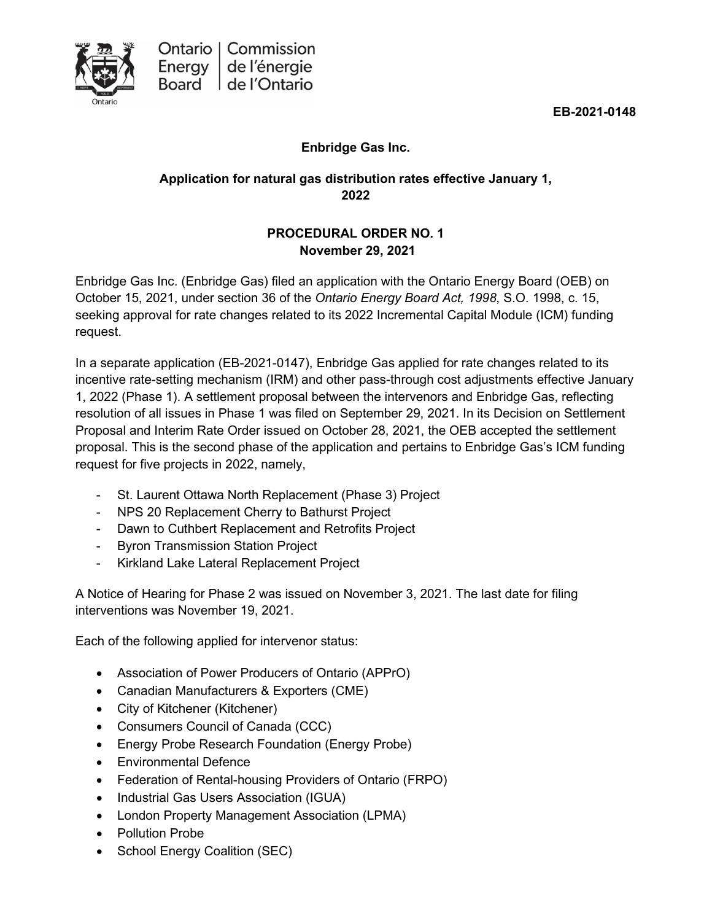

**EB-2021-0148**

## **Enbridge Gas Inc.**

#### **Application for natural gas distribution rates effective January 1, 2022**

### **PROCEDURAL ORDER NO. 1 November 29, 2021**

Enbridge Gas Inc. (Enbridge Gas) filed an application with the Ontario Energy Board (OEB) on October 15, 2021, under section 36 of the *Ontario Energy Board Act, 1998*, S.O. 1998, c. 15, seeking approval for rate changes related to its 2022 Incremental Capital Module (ICM) funding request.

In a separate application (EB-2021-0147), Enbridge Gas applied for rate changes related to its incentive rate-setting mechanism (IRM) and other pass-through cost adjustments effective January 1, 2022 (Phase 1). A settlement proposal between the intervenors and Enbridge Gas, reflecting resolution of all issues in Phase 1 was filed on September 29, 2021. In its Decision on Settlement Proposal and Interim Rate Order issued on October 28, 2021, the OEB accepted the settlement proposal. This is the second phase of the application and pertains to Enbridge Gas's ICM funding request for five projects in 2022, namely,

- St. Laurent Ottawa North Replacement (Phase 3) Project
- NPS 20 Replacement Cherry to Bathurst Project
- Dawn to Cuthbert Replacement and Retrofits Project
- Byron Transmission Station Project
- Kirkland Lake Lateral Replacement Project

A Notice of Hearing for Phase 2 was issued on November 3, 2021. The last date for filing interventions was November 19, 2021.

Each of the following applied for intervenor status:

- Association of Power Producers of Ontario (APPrO)
- Canadian Manufacturers & Exporters (CME)
- City of Kitchener (Kitchener)
- Consumers Council of Canada (CCC)
- Energy Probe Research Foundation (Energy Probe)
- Environmental Defence
- Federation of Rental-housing Providers of Ontario (FRPO)
- Industrial Gas Users Association (IGUA)
- London Property Management Association (LPMA)
- Pollution Probe
- School Energy Coalition (SEC)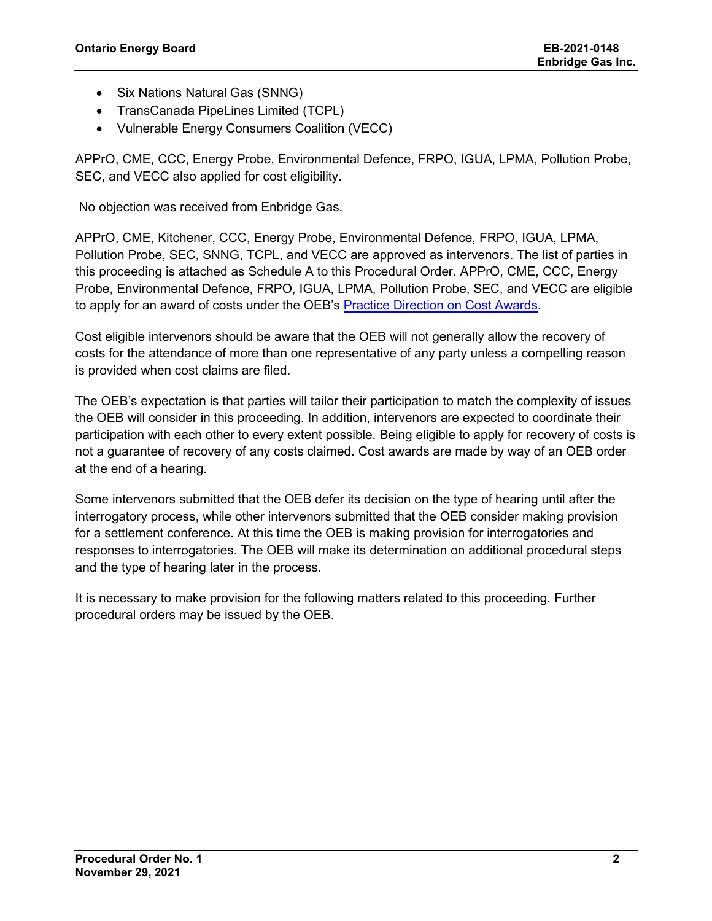- Six Nations Natural Gas (SNNG)
- TransCanada PipeLines Limited (TCPL)
- Vulnerable Energy Consumers Coalition (VECC)

APPrO, CME, CCC, Energy Probe, Environmental Defence, FRPO, IGUA, LPMA, Pollution Probe, SEC, and VECC also applied for cost eligibility.

No objection was received from Enbridge Gas.

APPrO, CME, Kitchener, CCC, Energy Probe, Environmental Defence, FRPO, IGUA, LPMA, Pollution Probe, SEC, SNNG, TCPL, and VECC are approved as intervenors. The list of parties in this proceeding is attached as Schedule A to this Procedural Order. APPrO, CME, CCC, Energy Probe, Environmental Defence, FRPO, IGUA, LPMA, Pollution Probe, SEC, and VECC are eligible to apply for an award of costs under the OEB's [Practice Direction on Cost Awards.](https://www.oeb.ca/industry/rules-codes-and-requirements/practice-direction-cost-awards)

Cost eligible intervenors should be aware that the OEB will not generally allow the recovery of costs for the attendance of more than one representative of any party unless a compelling reason is provided when cost claims are filed.

The OEB's expectation is that parties will tailor their participation to match the complexity of issues the OEB will consider in this proceeding. In addition, intervenors are expected to coordinate their participation with each other to every extent possible. Being eligible to apply for recovery of costs is not a guarantee of recovery of any costs claimed. Cost awards are made by way of an OEB order at the end of a hearing.

Some intervenors submitted that the OEB defer its decision on the type of hearing until after the interrogatory process, while other intervenors submitted that the OEB consider making provision for a settlement conference. At this time the OEB is making provision for interrogatories and responses to interrogatories. The OEB will make its determination on additional procedural steps and the type of hearing later in the process.

It is necessary to make provision for the following matters related to this proceeding. Further procedural orders may be issued by the OEB.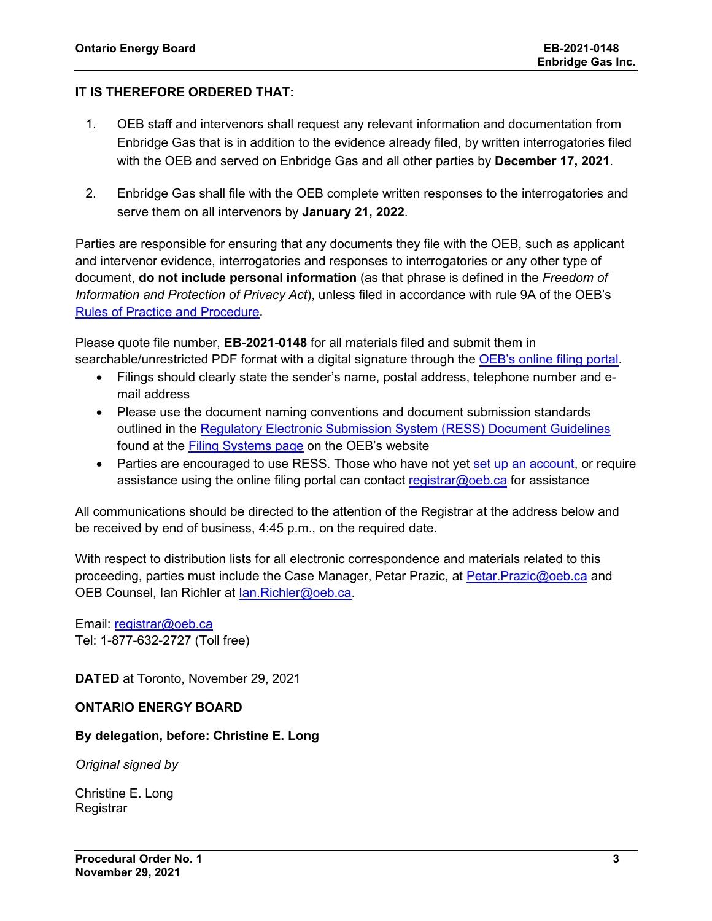#### **IT IS THEREFORE ORDERED THAT:**

- 1. OEB staff and intervenors shall request any relevant information and documentation from Enbridge Gas that is in addition to the evidence already filed, by written interrogatories filed with the OEB and served on Enbridge Gas and all other parties by **December 17, 2021**.
- 2. Enbridge Gas shall file with the OEB complete written responses to the interrogatories and serve them on all intervenors by **January 21, 2022**.

Parties are responsible for ensuring that any documents they file with the OEB, such as applicant and intervenor evidence, interrogatories and responses to interrogatories or any other type of document, **do not include personal information** (as that phrase is defined in the *Freedom of Information and Protection of Privacy Act*), unless filed in accordance with rule 9A of the OEB's [Rules of Practice and Procedure.](https://www.oeb.ca/industry/rules-codes-and-requirements/rules-practice-procedure)

Please quote file number, **EB-2021-0148** for all materials filed and submit them in searchable/unrestricted PDF format with a digital signature through the [OEB's online filing portal.](https://p-pes.ontarioenergyboard.ca/PivotalUX/)

- Filings should clearly state the sender's name, postal address, telephone number and email address
- Please use the document naming conventions and document submission standards outlined in the [Regulatory Electronic Submission System \(RESS\) Document Guidelines](https://www.oeb.ca/sites/default/files/RESS-Document-Guidelines-202006.pdf) found at the **Filing Systems page** on the OEB's website
- Parties are encouraged to use RESS. Those who have not yet [set up an account,](https://www.oeb.ca/oeb/_Documents/e-Filing/Electronic_User_Form.pdf?v=20200331) or require assistance using the online filing portal can contact [registrar@oeb.ca](mailto:registrar@oeb.ca) for assistance

All communications should be directed to the attention of the Registrar at the address below and be received by end of business, 4:45 p.m., on the required date.

With respect to distribution lists for all electronic correspondence and materials related to this proceeding, parties must include the Case Manager, Petar Prazic, at [Petar.Prazic@oeb.ca](mailto:Petar.Prazic@oeb.ca) and OEB Counsel, Ian Richler at [Ian.Richler@oeb.ca.](mailto:Ian.Richler@oeb.ca)

Email: [registrar@oeb.ca](mailto:registrar@oeb.ca) Tel: 1-877-632-2727 (Toll free)

**DATED** at Toronto, November 29, 2021

#### **ONTARIO ENERGY BOARD**

#### **By delegation, before: Christine E. Long**

*Original signed by*

Christine E. Long Registrar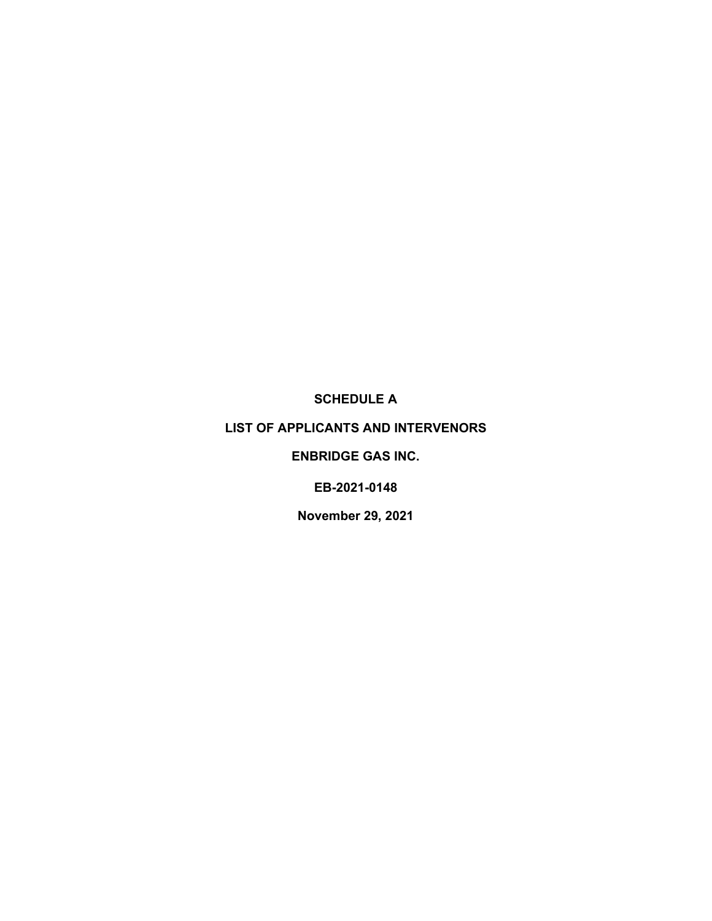**SCHEDULE A**

#### **LIST OF APPLICANTS AND INTERVENORS**

#### **ENBRIDGE GAS INC.**

**EB-2021-0148**

**November 29, 2021**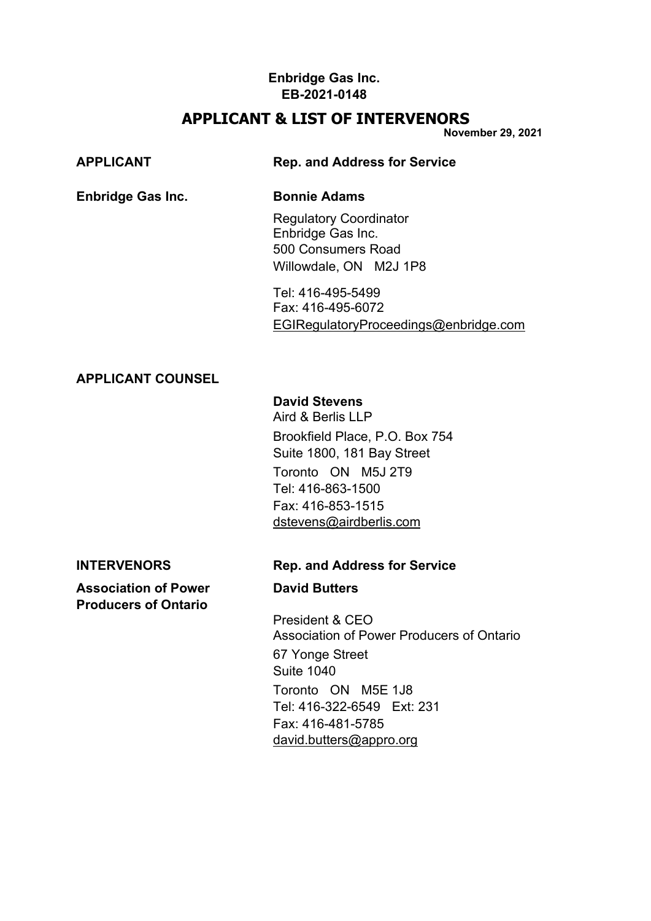# **APPLICANT & LIST OF INTERVENORS**

**November 29, 2021**

| <b>APPLICANT</b>         | <b>Rep. and Address for Service</b>                                                                |  |
|--------------------------|----------------------------------------------------------------------------------------------------|--|
| <b>Enbridge Gas Inc.</b> | <b>Bonnie Adams</b>                                                                                |  |
|                          | <b>Regulatory Coordinator</b><br>Enbridge Gas Inc.<br>500 Consumers Road<br>Willowdale, ON M2J 1P8 |  |
|                          | Tel: 416-495-5499                                                                                  |  |

Fax: 416-495-6072 [EGIRegulatoryProceedings@enbridge.com](mailto:EGIRegulatoryProceedings@enbridge.com)

## **APPLICANT COUNSEL**

# **David Stevens**

Aird & Berlis LLP Brookfield Place, P.O. Box 754 Suite 1800, 181 Bay Street Toronto ON M5J 2T9 Tel: 416-863-1500 Fax: 416-853-1515 [dstevens@airdberlis.com](mailto:dstevens@airdberlis.com)

**Association of Power David Butters**

**Producers of Ontario**

## **INTERVENORS Rep. and Address for Service**

President & CEO Association of Power Producers of Ontario 67 Yonge Street Suite 1040 Toronto ON M5E 1J8 Tel: 416-322-6549 Ext: 231 Fax: 416-481-5785 [david.butters@appro.org](mailto:david.butters@appro.org)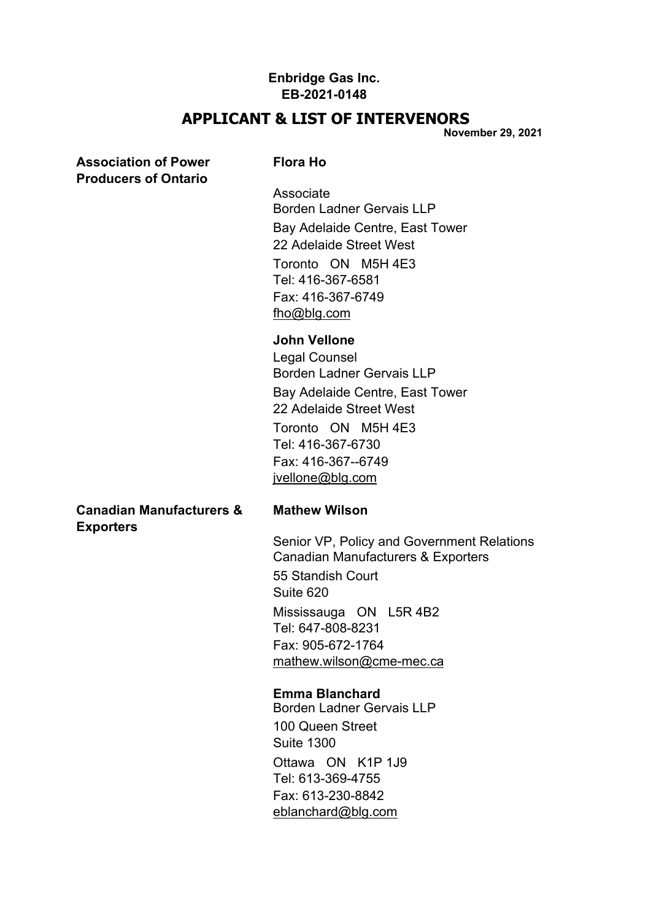## **APPLICANT & LIST OF INTERVENORS**

**November 29, 2021**

### **Association of Power Flora Ho Producers of Ontario**

Associate Borden Ladner Gervais LLP Bay Adelaide Centre, East Tower 22 Adelaide Street West Toronto ON M5H 4E3 Tel: 416-367-6581 Fax: 416-367-6749 [fho@blg.com](mailto:fho@blg.com)

#### **John Vellone**

Legal Counsel Borden Ladner Gervais LLP Bay Adelaide Centre, East Tower 22 Adelaide Street West Toronto ON M5H 4E3 Tel: 416-367-6730 Fax: 416-367--6749 [jvellone@blg.com](mailto:jvellone@blg.com)

#### **Canadian Manufacturers & Mathew Wilson Exporters**

Senior VP, Policy and Government Relations Canadian Manufacturers & Exporters 55 Standish Court Suite 620 Mississauga ON L5R 4B2 Tel: 647-808-8231 Fax: 905-672-1764 [mathew.wilson@cme-mec.ca](mailto:mathew.wilson@cme%1Emec.ca)

#### **Emma Blanchard**

Borden Ladner Gervais LLP 100 Queen Street Suite 1300 Ottawa ON K1P 1J9 Tel: 613-369-4755 Fax: 613-230-8842 [eblanchard@blg.com](mailto:eblanchard@blg.com)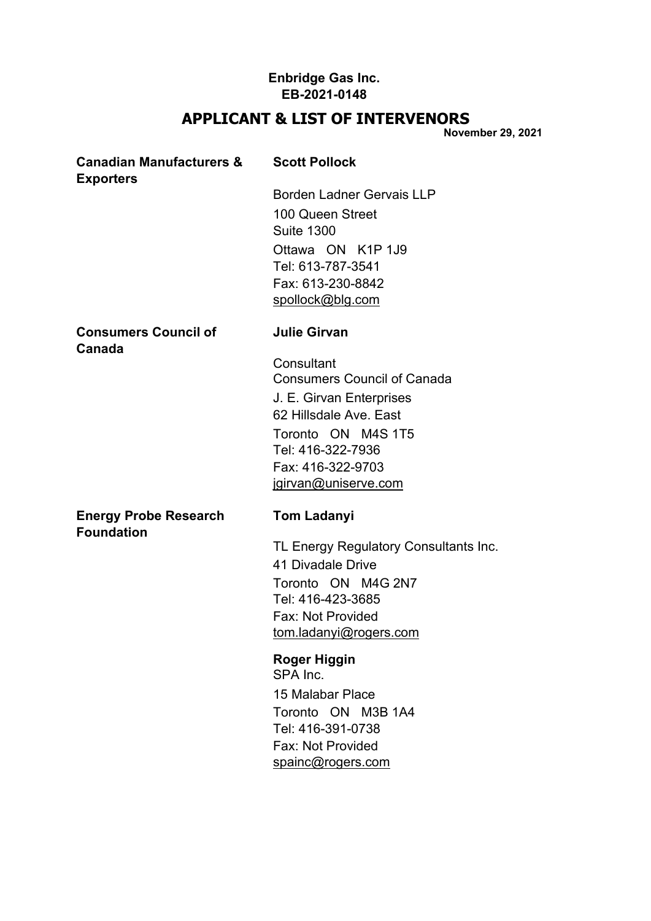# **APPLICANT & LIST OF INTERVENORS**

**November 29, 2021**

| <b>Canadian Manufacturers &amp;</b><br><b>Exporters</b> | <b>Scott Pollock</b>                                                                                                                                                                           |
|---------------------------------------------------------|------------------------------------------------------------------------------------------------------------------------------------------------------------------------------------------------|
|                                                         | <b>Borden Ladner Gervais LLP</b><br>100 Queen Street<br><b>Suite 1300</b><br>Ottawa ON K1P 1J9<br>Tel: 613-787-3541<br>Fax: 613-230-8842<br>spollock@blg.com                                   |
| <b>Consumers Council of</b><br>Canada                   | <b>Julie Girvan</b>                                                                                                                                                                            |
|                                                         | Consultant<br><b>Consumers Council of Canada</b><br>J. E. Girvan Enterprises<br>62 Hillsdale Ave. East<br>Toronto ON M4S 1T5<br>Tel: 416-322-7936<br>Fax: 416-322-9703<br>jgirvan@uniserve.com |
| <b>Energy Probe Research</b><br><b>Foundation</b>       | <b>Tom Ladanyi</b><br>TL Energy Regulatory Consultants Inc.<br>41 Divadale Drive<br>Toronto ON M4G 2N7<br>Tel: 416-423-3685<br>Fax: Not Provided<br>tom.ladanyi@rogers.com                     |
|                                                         | Roger Higgin<br>SPA Inc.<br>15 Malabar Place                                                                                                                                                   |

Toronto ON M3B 1A4 Tel: 416-391-0738 Fax: Not Provided [spainc@rogers.com](mailto:spainc@rogers.com)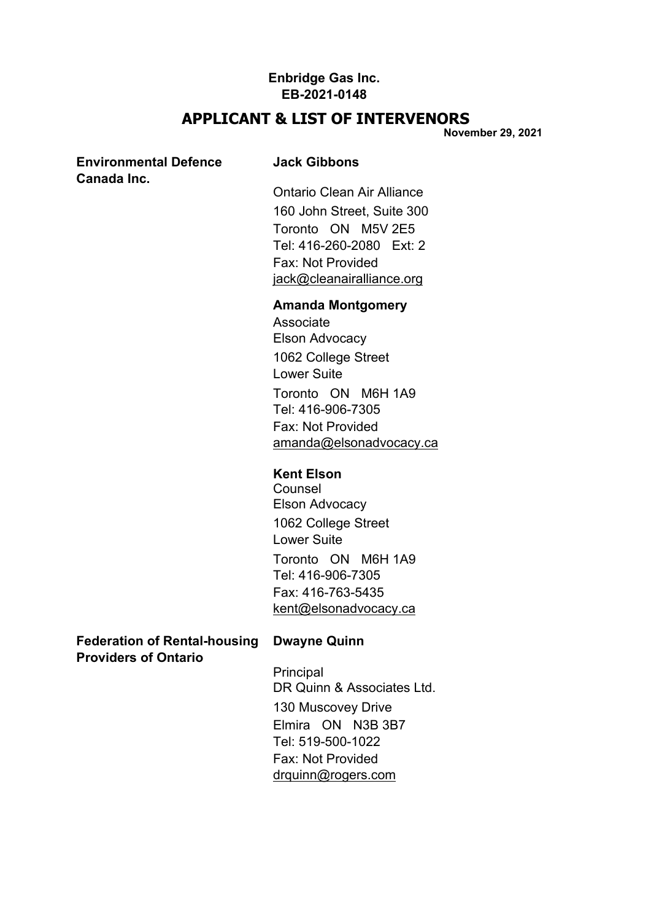## **APPLICANT & LIST OF INTERVENORS**

**November 29, 2021**

### **Environmental Defence Jack Gibbons Canada Inc.**

Ontario Clean Air Alliance 160 John Street, Suite 300 Toronto ON M5V 2E5 Tel: 416-260-2080 Ext: 2 Fax: Not Provided [jack@cleanairalliance.org](mailto:jack@cleanairalliance.org)

#### **Amanda Montgomery**

Associate Elson Advocacy 1062 College Street Lower Suite Toronto ON M6H 1A9 Tel: 416-906-7305 Fax: Not Provided [amanda@elsonadvocacy.ca](mailto:amanda@elsonadvocacy.ca)

## **Kent Elson**

Counsel Elson Advocacy 1062 College Street Lower Suite Toronto ON M6H 1A9 Tel: 416-906-7305 Fax: 416-763-5435 [kent@elsonadvocacy.ca](mailto:kent@elsonadvocacy.ca)

**Federation of Rental-housing Dwayne Quinn Providers of Ontario**

Principal DR Quinn & Associates Ltd. 130 Muscovey Drive Elmira ON N3B 3B7 Tel: 519-500-1022 Fax: Not Provided [drquinn@rogers.com](mailto:drquinn@rogers.com)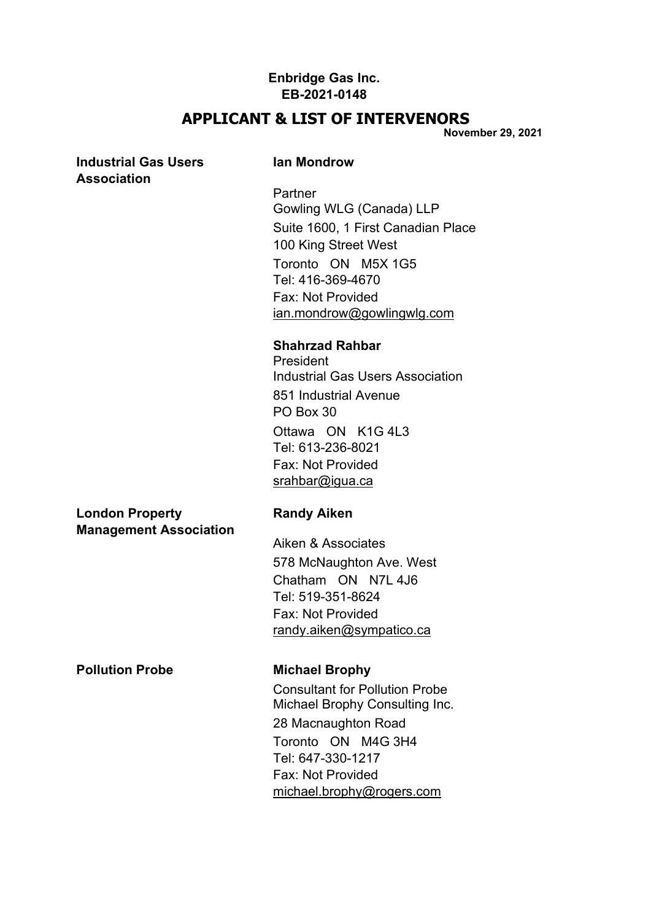## **APPLICANT & LIST OF INTERVENORS**

**November 29, 2021**

## **Industrial Gas Users Ian Mondrow Association**

**Partner** Gowling WLG (Canada) LLP Suite 1600, 1 First Canadian Place 100 King Street West Toronto ON M5X 1G5 Tel: 416-369-4670 Fax: Not Provided [ian.mondrow@gowlingwlg.com](mailto:ian.mondrow@gowlingwlg.com)

#### **Shahrzad Rahbar**

President Industrial Gas Users Association 851 Industrial Avenue PO Box 30 Ottawa ON K1G 4L3 Tel: 613-236-8021 Fax: Not Provided [srahbar@igua.ca](mailto:srahbar@igua.ca)

### **London Property Randy Aiken Management Association**

Aiken & Associates 578 McNaughton Ave. West Chatham ON N7L 4J6 Tel: 519-351-8624 Fax: Not Provided [randy.aiken@sympatico.ca](mailto:randy.aiken@sympatico.ca)

**Pollution Probe Michael Brophy**

Consultant for Pollution Probe Michael Brophy Consulting Inc. 28 Macnaughton Road Toronto ON M4G 3H4 Tel: 647-330-1217 Fax: Not Provided [michael.brophy@rogers.com](mailto:michael.brophy@rogers.com)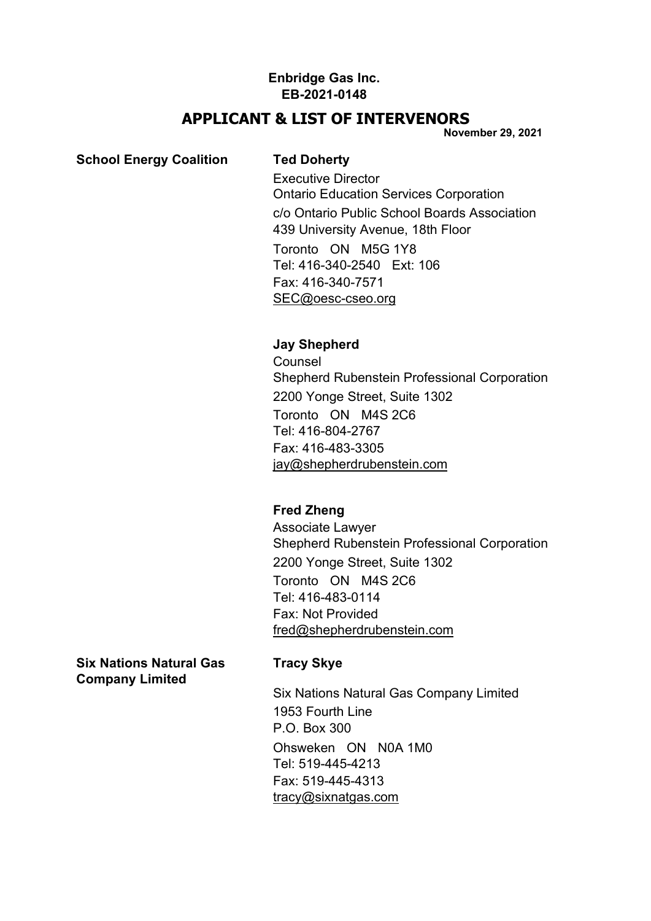## **APPLICANT & LIST OF INTERVENORS**

**November 29, 2021**

## **School Energy Coalition Ted Doherty**

Executive Director Ontario Education Services Corporation c/o Ontario Public School Boards Association 439 University Avenue, 18th Floor Toronto ON M5G 1Y8 Tel: 416-340-2540 Ext: 106 Fax: 416-340-7571 [SEC@oesc-cseo.org](mailto:SEC@oesc%1Ecseo.org)

## **Jay Shepherd**

**Counsel** Shepherd Rubenstein Professional Corporation 2200 Yonge Street, Suite 1302 Toronto ON M4S 2C6 Tel: 416-804-2767 Fax: 416-483-3305 [jay@shepherdrubenstein.com](mailto:jay@shepherdrubenstein.com)

# **Fred Zheng**

Associate Lawyer Shepherd Rubenstein Professional Corporation 2200 Yonge Street, Suite 1302 Toronto ON M4S 2C6 Tel: 416-483-0114 Fax: Not Provided [fred@shepherdrubenstein.com](mailto:fred@shepherdrubenstein.com)

**Six Nations Natural Gas Tracy Skye Company Limited**

Six Nations Natural Gas Company Limited 1953 Fourth Line P.O. Box 300 Ohsweken ON N0A 1M0 Tel: 519-445-4213 Fax: 519-445-4313 [tracy@sixnatgas.com](mailto:tracy@sixnatgas.com)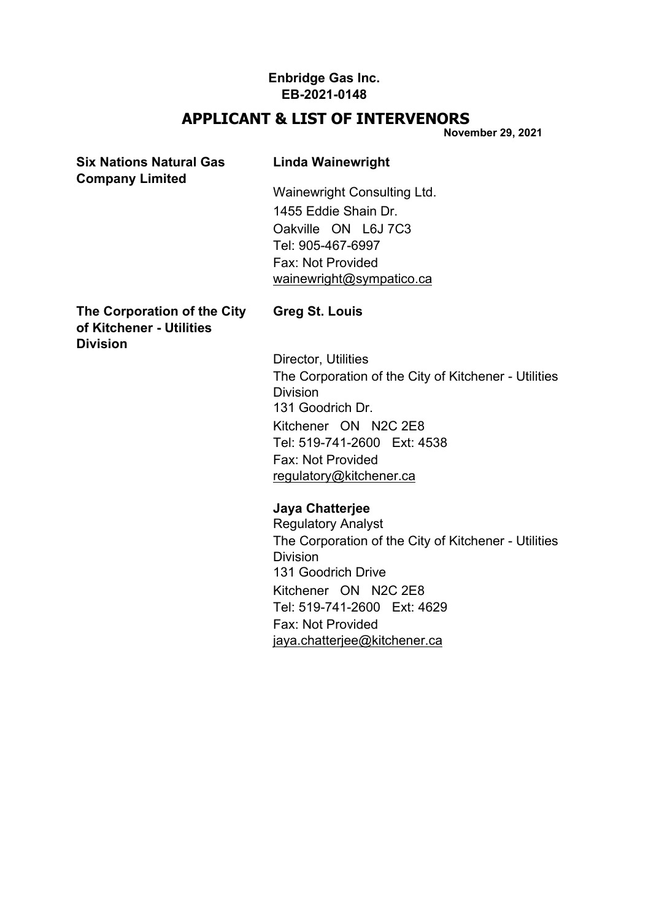# **APPLICANT & LIST OF INTERVENORS**

**November 29, 2021**

| <b>Six Nations Natural Gas</b><br><b>Company Limited</b>                   | <b>Linda Wainewright</b>                             |  |
|----------------------------------------------------------------------------|------------------------------------------------------|--|
|                                                                            | Wainewright Consulting Ltd.                          |  |
|                                                                            | 1455 Eddie Shain Dr.                                 |  |
|                                                                            | Oakville ON L6J 7C3                                  |  |
|                                                                            | Tel: 905-467-6997                                    |  |
|                                                                            | Fax: Not Provided                                    |  |
|                                                                            | wainewright@sympatico.ca                             |  |
| The Corporation of the City<br>of Kitchener - Utilities<br><b>Division</b> | Greg St. Louis                                       |  |
|                                                                            | Director, Utilities                                  |  |
|                                                                            | The Corporation of the City of Kitchener - Utilities |  |
|                                                                            | Division                                             |  |
|                                                                            | 131 Goodrich Dr.                                     |  |
|                                                                            | Kitchener ON N2C 2E8                                 |  |
|                                                                            | Tel: 519-741-2600 Ext: 4538                          |  |
|                                                                            | Fax: Not Provided                                    |  |
|                                                                            | regulatory@kitchener.ca                              |  |
|                                                                            |                                                      |  |

# **Jaya Chatterjee**

Regulatory Analyst The Corporation of the City of Kitchener - Utilities Division 131 Goodrich Drive Kitchener ON N2C 2E8 Tel: 519-741-2600 Ext: 4629 Fax: Not Provided [jaya.chatterjee@kitchener.ca](mailto:jaya.chatterjee@kitchener.ca)